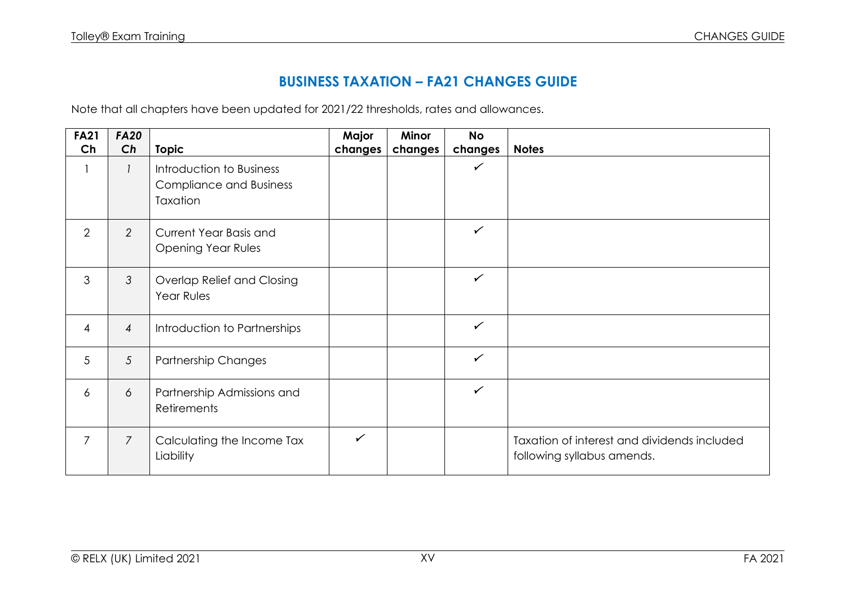## **BUSINESS TAXATION – FA21 CHANGES GUIDE**

Note that all chapters have been updated for 2021/22 thresholds, rates and allowances.

| <b>FA21</b>    | <b>FA20</b>    |                                                                        | Major        | <b>Minor</b> | <b>No</b>    |                                                                           |
|----------------|----------------|------------------------------------------------------------------------|--------------|--------------|--------------|---------------------------------------------------------------------------|
| Ch             | Ch             | <b>Topic</b>                                                           | changes      | changes      | changes      | <b>Notes</b>                                                              |
|                |                | Introduction to Business<br><b>Compliance and Business</b><br>Taxation |              |              | $\checkmark$ |                                                                           |
| $\overline{2}$ | $\overline{2}$ | Current Year Basis and<br><b>Opening Year Rules</b>                    |              |              | $\checkmark$ |                                                                           |
| 3              | 3              | Overlap Relief and Closing<br>Year Rules                               |              |              | $\checkmark$ |                                                                           |
| $\overline{4}$ | $\overline{4}$ | Introduction to Partnerships                                           |              |              | $\checkmark$ |                                                                           |
| 5              | 5              | <b>Partnership Changes</b>                                             |              |              | $\checkmark$ |                                                                           |
| 6              | 6              | Partnership Admissions and<br>Retirements                              |              |              | $\checkmark$ |                                                                           |
| $\overline{7}$ | $\overline{7}$ | Calculating the Income Tax<br>Liability                                | $\checkmark$ |              |              | Taxation of interest and dividends included<br>following syllabus amends. |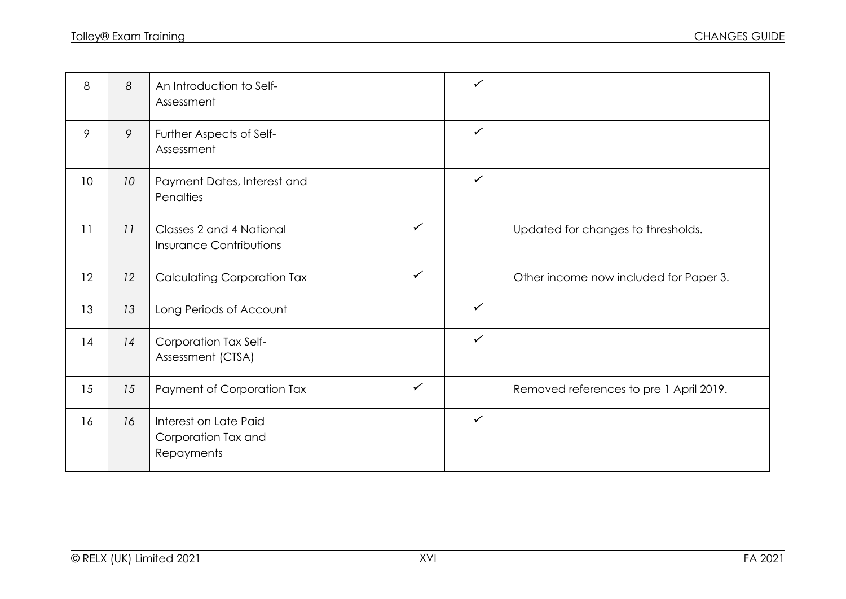| 8  | 8  | An Introduction to Self-<br>Assessment                     |              | $\checkmark$ |                                         |
|----|----|------------------------------------------------------------|--------------|--------------|-----------------------------------------|
| 9  | 9  | Further Aspects of Self-<br>Assessment                     |              | $\checkmark$ |                                         |
| 10 | 10 | Payment Dates, Interest and<br>Penalties                   |              | $\checkmark$ |                                         |
| 11 | 11 | Classes 2 and 4 National<br><b>Insurance Contributions</b> | $\checkmark$ |              | Updated for changes to thresholds.      |
| 12 | 12 | <b>Calculating Corporation Tax</b>                         | $\checkmark$ |              | Other income now included for Paper 3.  |
| 13 | 13 | Long Periods of Account                                    |              | $\checkmark$ |                                         |
| 14 | 14 | Corporation Tax Self-<br>Assessment (CTSA)                 |              | $\checkmark$ |                                         |
| 15 | 15 | Payment of Corporation Tax                                 | $\checkmark$ |              | Removed references to pre 1 April 2019. |
| 16 | 16 | Interest on Late Paid<br>Corporation Tax and<br>Repayments |              | $\checkmark$ |                                         |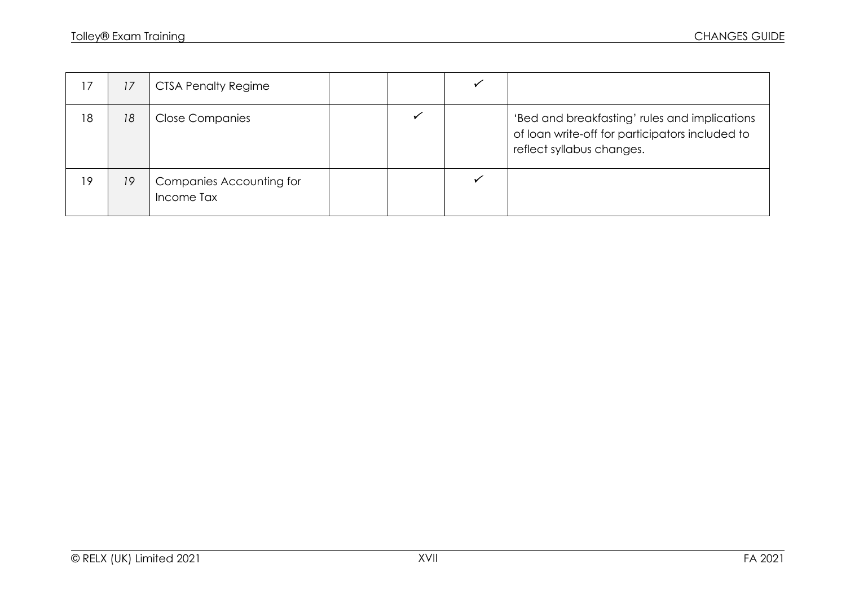| 17 | 17 | <b>CTSA Penalty Regime</b>                    |  |                                                                                                                               |
|----|----|-----------------------------------------------|--|-------------------------------------------------------------------------------------------------------------------------------|
| 18 | 18 | <b>Close Companies</b>                        |  | 'Bed and breakfasting' rules and implications<br>of loan write-off for participators included to<br>reflect syllabus changes. |
| 19 | 19 | <b>Companies Accounting for</b><br>Income Tax |  |                                                                                                                               |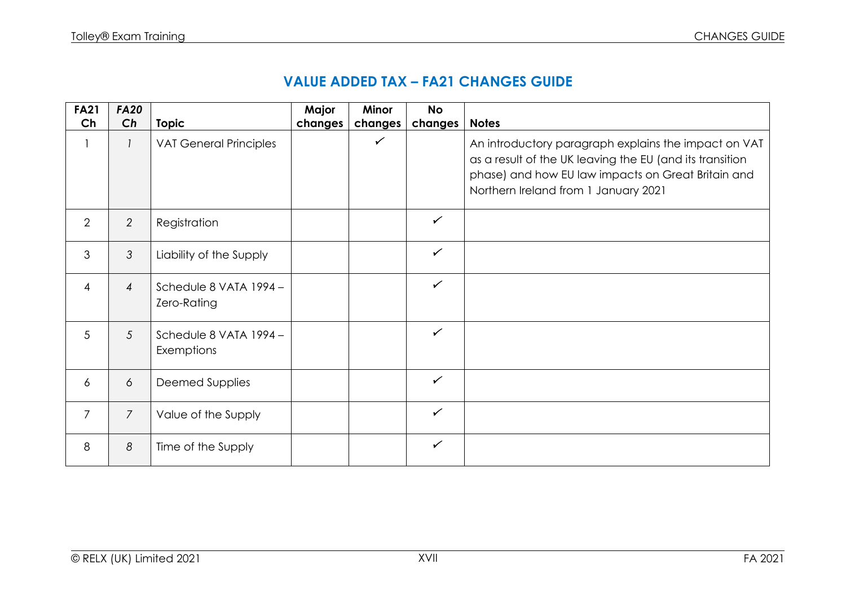| <b>FA21</b>    | <b>FA20</b>    |                                       | Major   | Minor        | <b>No</b>    |                                                                                                                                                                                                                |
|----------------|----------------|---------------------------------------|---------|--------------|--------------|----------------------------------------------------------------------------------------------------------------------------------------------------------------------------------------------------------------|
| Ch             | Ch             | <b>Topic</b>                          | changes | changes      | changes      | <b>Notes</b>                                                                                                                                                                                                   |
|                |                | <b>VAT General Principles</b>         |         | $\checkmark$ |              | An introductory paragraph explains the impact on VAT<br>as a result of the UK leaving the EU (and its transition<br>phase) and how EU law impacts on Great Britain and<br>Northern Ireland from 1 January 2021 |
| $\overline{2}$ | $\overline{2}$ | Registration                          |         |              | $\checkmark$ |                                                                                                                                                                                                                |
| 3              | 3              | Liability of the Supply               |         |              | $\checkmark$ |                                                                                                                                                                                                                |
| 4              | $\overline{4}$ | Schedule 8 VATA 1994 -<br>Zero-Rating |         |              | $\checkmark$ |                                                                                                                                                                                                                |
| 5              | 5              | Schedule 8 VATA 1994 -<br>Exemptions  |         |              | $\checkmark$ |                                                                                                                                                                                                                |
| $\overline{6}$ | 6              | Deemed Supplies                       |         |              | $\checkmark$ |                                                                                                                                                                                                                |
| $\overline{7}$ | $\overline{7}$ | Value of the Supply                   |         |              | $\checkmark$ |                                                                                                                                                                                                                |
| 8              | 8              | Time of the Supply                    |         |              | $\checkmark$ |                                                                                                                                                                                                                |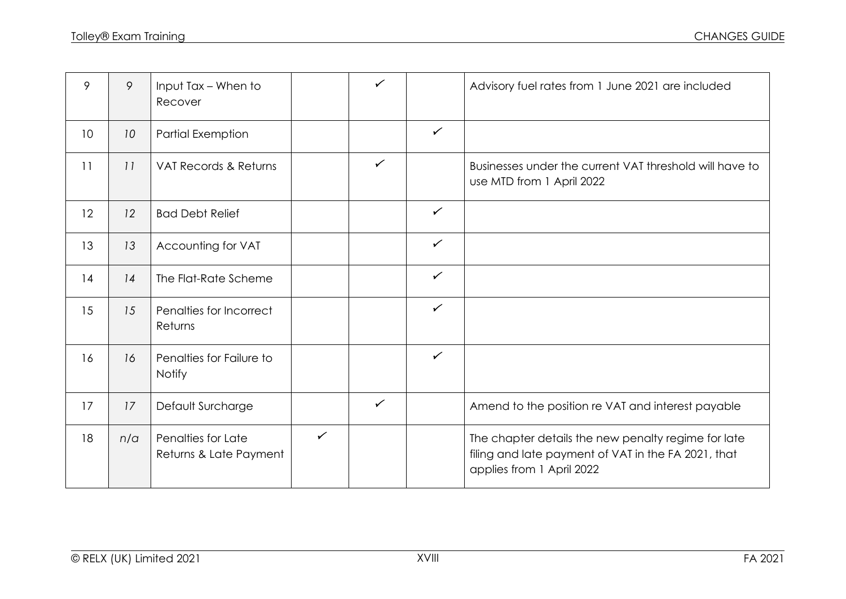| 9               | 9   | Input Tax - When to<br>Recover               |              | $\checkmark$ |              | Advisory fuel rates from 1 June 2021 are included                                                                                       |
|-----------------|-----|----------------------------------------------|--------------|--------------|--------------|-----------------------------------------------------------------------------------------------------------------------------------------|
| 10 <sup>°</sup> | 10  | <b>Partial Exemption</b>                     |              |              | $\checkmark$ |                                                                                                                                         |
| 11              | 11  | VAT Records & Returns                        |              | $\checkmark$ |              | Businesses under the current VAT threshold will have to<br>use MTD from 1 April 2022                                                    |
| 12              | 12  | <b>Bad Debt Relief</b>                       |              |              | $\checkmark$ |                                                                                                                                         |
| 13              | 13  | Accounting for VAT                           |              |              | $\checkmark$ |                                                                                                                                         |
| 14              | 14  | The Flat-Rate Scheme                         |              |              | $\checkmark$ |                                                                                                                                         |
| 15              | 15  | Penalties for Incorrect<br>Returns           |              |              | $\checkmark$ |                                                                                                                                         |
| 16              | 16  | Penalties for Failure to<br><b>Notify</b>    |              |              | $\checkmark$ |                                                                                                                                         |
| 17              | 17  | Default Surcharge                            |              | $\checkmark$ |              | Amend to the position re VAT and interest payable                                                                                       |
| 18              | n/a | Penalties for Late<br>Returns & Late Payment | $\checkmark$ |              |              | The chapter details the new penalty regime for late<br>filing and late payment of VAT in the FA 2021, that<br>applies from 1 April 2022 |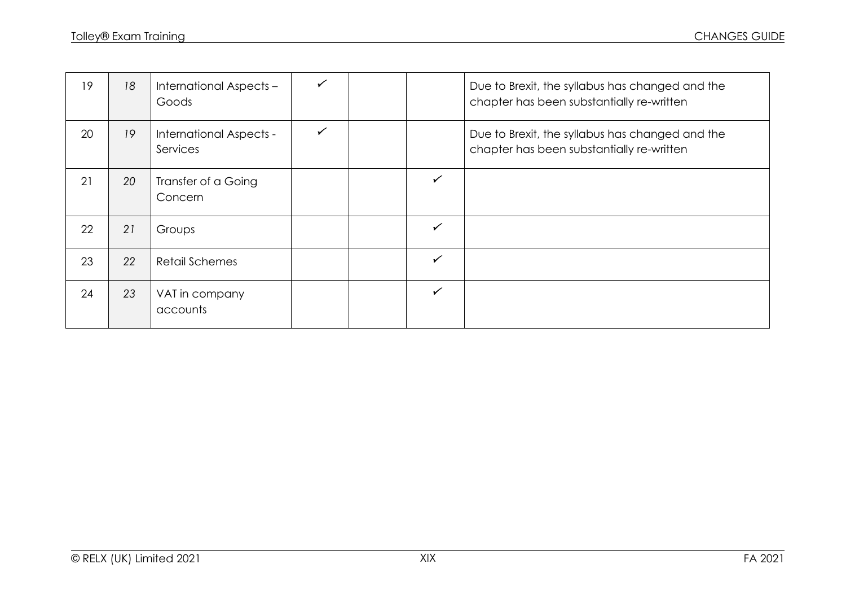| 19 | 18 | International Aspects -<br>Goods    |   |              | Due to Brexit, the syllabus has changed and the<br>chapter has been substantially re-written |
|----|----|-------------------------------------|---|--------------|----------------------------------------------------------------------------------------------|
| 20 | 19 | International Aspects -<br>Services | ✓ |              | Due to Brexit, the syllabus has changed and the<br>chapter has been substantially re-written |
| 21 | 20 | Transfer of a Going<br>Concern      |   | $\checkmark$ |                                                                                              |
| 22 | 21 | Groups                              |   | $\checkmark$ |                                                                                              |
| 23 | 22 | <b>Retail Schemes</b>               |   | $\checkmark$ |                                                                                              |
| 24 | 23 | VAT in company<br>accounts          |   | $\checkmark$ |                                                                                              |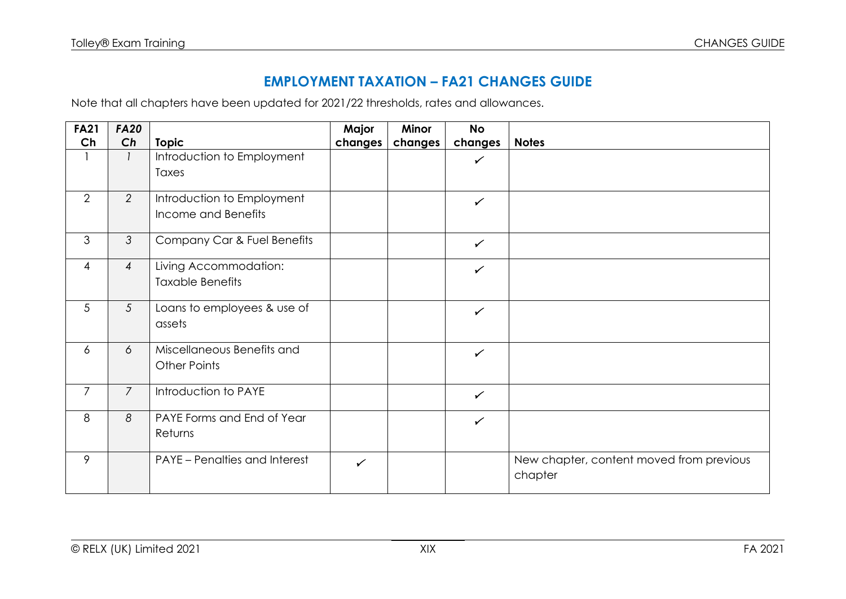## **EMPLOYMENT TAXATION – FA21 CHANGES GUIDE**

Note that all chapters have been updated for 2021/22 thresholds, rates and allowances.

| <b>FA21</b>     | <b>FA20</b>    |                                      | Major        | <b>Minor</b> | <b>No</b>    |                                          |
|-----------------|----------------|--------------------------------------|--------------|--------------|--------------|------------------------------------------|
| Ch              | Ch             | <b>Topic</b>                         | changes      | changes      | changes      | <b>Notes</b>                             |
|                 |                | Introduction to Employment           |              |              | $\checkmark$ |                                          |
|                 |                | Taxes                                |              |              |              |                                          |
| 2               | 2              | Introduction to Employment           |              |              | $\checkmark$ |                                          |
|                 |                | Income and Benefits                  |              |              |              |                                          |
| $\mathfrak{S}$  | $\mathfrak{Z}$ | Company Car & Fuel Benefits          |              |              | $\checkmark$ |                                          |
| $\overline{4}$  | $\overline{4}$ | Living Accommodation:                |              |              | $\checkmark$ |                                          |
|                 |                | <b>Taxable Benefits</b>              |              |              |              |                                          |
| $5\overline{)}$ | $\overline{5}$ | Loans to employees & use of          |              |              | $\checkmark$ |                                          |
|                 |                | assets                               |              |              |              |                                          |
| 6               | 6              | Miscellaneous Benefits and           |              |              | $\checkmark$ |                                          |
|                 |                | <b>Other Points</b>                  |              |              |              |                                          |
| $\overline{7}$  | $\overline{7}$ | Introduction to PAYE                 |              |              | $\checkmark$ |                                          |
| 8               | 8              | PAYE Forms and End of Year           |              |              | $\checkmark$ |                                          |
|                 |                | Returns                              |              |              |              |                                          |
| 9               |                | <b>PAYE</b> – Penalties and Interest | $\checkmark$ |              |              | New chapter, content moved from previous |
|                 |                |                                      |              |              |              | chapter                                  |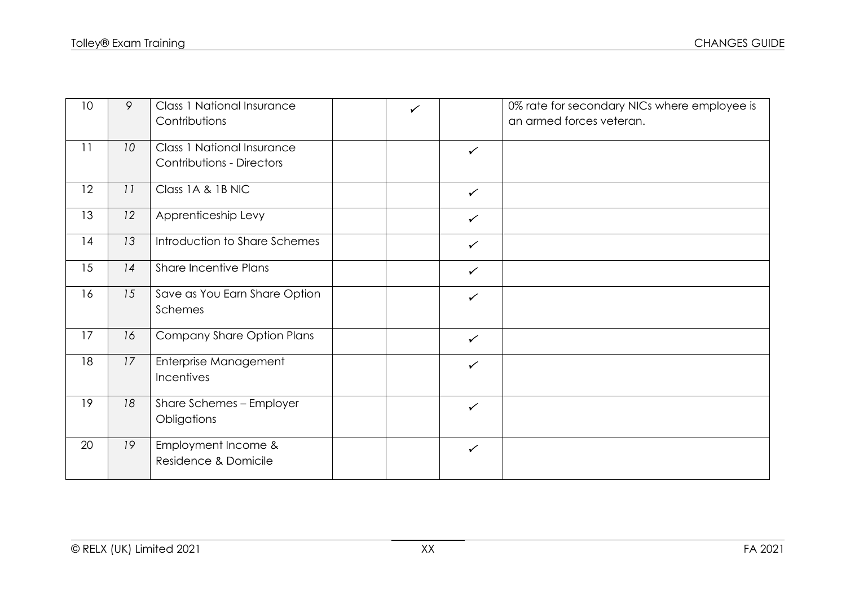| 10 | 9  | <b>Class 1 National Insurance</b><br>Contributions                    | $\checkmark$ | 0% rate for secondary NICs where employee is<br>an armed forces veteran. |
|----|----|-----------------------------------------------------------------------|--------------|--------------------------------------------------------------------------|
| 11 | 10 | <b>Class 1 National Insurance</b><br><b>Contributions - Directors</b> | $\checkmark$ |                                                                          |
| 12 | 11 | Class 1A & 1B NIC                                                     | $\checkmark$ |                                                                          |
| 13 | 12 | Apprenticeship Levy                                                   | $\checkmark$ |                                                                          |
| 14 | 13 | Introduction to Share Schemes                                         | $\checkmark$ |                                                                          |
| 15 | 14 | <b>Share Incentive Plans</b>                                          | $\checkmark$ |                                                                          |
| 16 | 15 | Save as You Earn Share Option<br>Schemes                              | $\checkmark$ |                                                                          |
| 17 | 16 | Company Share Option Plans                                            | $\checkmark$ |                                                                          |
| 18 | 17 | Enterprise Management<br>Incentives                                   | $\checkmark$ |                                                                          |
| 19 | 18 | Share Schemes - Employer<br>Obligations                               | $\checkmark$ |                                                                          |
| 20 | 19 | Employment Income &<br>Residence & Domicile                           | $\checkmark$ |                                                                          |